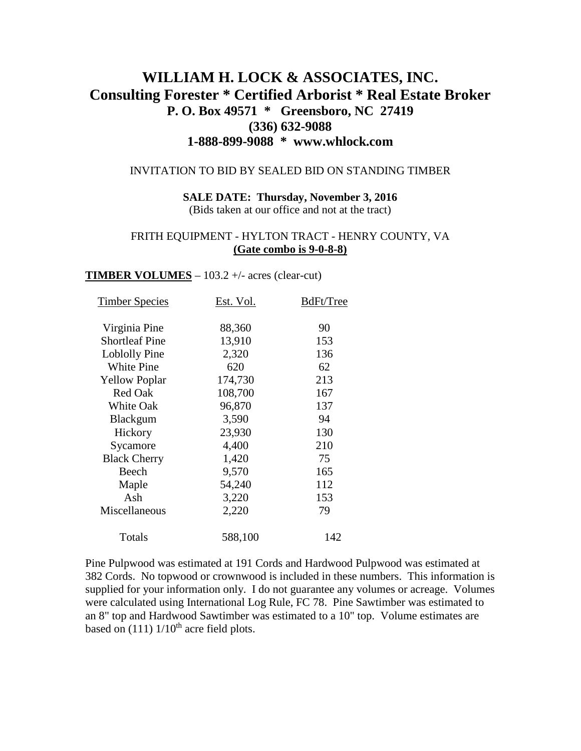# **WILLIAM H. LOCK & ASSOCIATES, INC. Consulting Forester \* Certified Arborist \* Real Estate Broker P. O. Box 49571 \* Greensboro, NC 27419 (336) 632-9088 1-888-899-9088 \* www.whlock.com**

#### INVITATION TO BID BY SEALED BID ON STANDING TIMBER

**SALE DATE: Thursday, November 3, 2016** (Bids taken at our office and not at the tract)

#### FRITH EQUIPMENT - HYLTON TRACT - HENRY COUNTY, VA **(Gate combo is 9-0-8-8)**

#### **TIMBER VOLUMES** –  $103.2 +/-$  acres (clear-cut)

| <b>Timber Species</b> | Est. Vol. | BdFt/Tree |
|-----------------------|-----------|-----------|
| Virginia Pine         | 88,360    | 90        |
| <b>Shortleaf Pine</b> | 13,910    | 153       |
| Loblolly Pine         | 2,320     | 136       |
| <b>White Pine</b>     | 620       | 62        |
| <b>Yellow Poplar</b>  | 174,730   | 213       |
| <b>Red Oak</b>        | 108,700   | 167       |
| <b>White Oak</b>      | 96,870    | 137       |
| <b>Blackgum</b>       | 3,590     | 94        |
| Hickory               | 23,930    | 130       |
| Sycamore              | 4,400     | 210       |
| <b>Black Cherry</b>   | 1,420     | 75        |
| Beech                 | 9,570     | 165       |
| Maple                 | 54,240    | 112       |
| Ash                   | 3,220     | 153       |
| Miscellaneous         | 2,220     | 79        |
| Totals                | 588,100   | 142       |

Pine Pulpwood was estimated at 191 Cords and Hardwood Pulpwood was estimated at 382 Cords. No topwood or crownwood is included in these numbers. This information is supplied for your information only. I do not guarantee any volumes or acreage. Volumes were calculated using International Log Rule, FC 78. Pine Sawtimber was estimated to an 8" top and Hardwood Sawtimber was estimated to a 10" top. Volume estimates are based on  $(111)$   $1/10$ <sup>th</sup> acre field plots.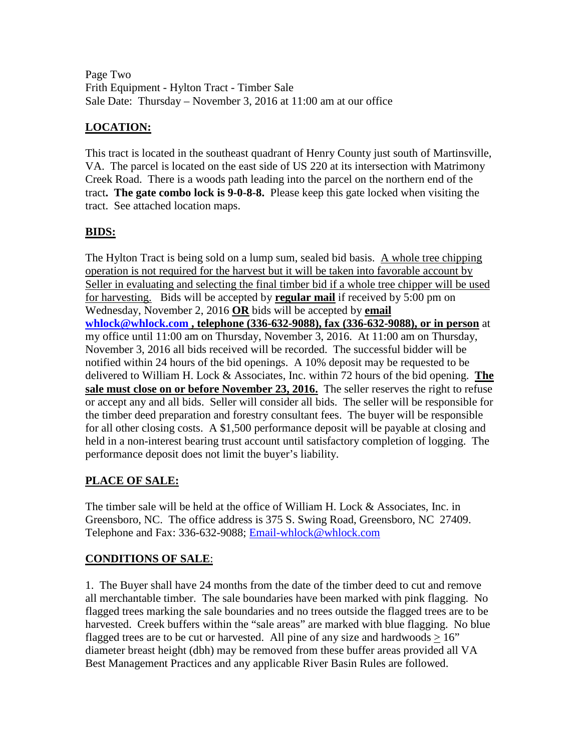Page Two Frith Equipment - Hylton Tract - Timber Sale Sale Date: Thursday – November 3, 2016 at 11:00 am at our office

## **LOCATION:**

This tract is located in the southeast quadrant of Henry County just south of Martinsville, VA. The parcel is located on the east side of US 220 at its intersection with Matrimony Creek Road. There is a woods path leading into the parcel on the northern end of the tract**. The gate combo lock is 9-0-8-8.** Please keep this gate locked when visiting the tract. See attached location maps.

## **BIDS:**

The Hylton Tract is being sold on a lump sum, sealed bid basis. A whole tree chipping operation is not required for the harvest but it will be taken into favorable account by Seller in evaluating and selecting the final timber bid if a whole tree chipper will be used for harvesting. Bids will be accepted by **regular mail** if received by 5:00 pm on Wednesday, November 2, 2016 **OR** bids will be accepted by **email [whlock@whlock.com](mailto:whlock@whlock.com) , telephone (336-632-9088), fax (336-632-9088), or in person** at my office until 11:00 am on Thursday, November 3, 2016. At 11:00 am on Thursday, November 3, 2016 all bids received will be recorded. The successful bidder will be notified within 24 hours of the bid openings. A 10% deposit may be requested to be delivered to William H. Lock & Associates, Inc. within 72 hours of the bid opening. **The sale must close on or before November 23, 2016.** The seller reserves the right to refuse or accept any and all bids. Seller will consider all bids. The seller will be responsible for the timber deed preparation and forestry consultant fees. The buyer will be responsible for all other closing costs. A \$1,500 performance deposit will be payable at closing and held in a non-interest bearing trust account until satisfactory completion of logging. The performance deposit does not limit the buyer's liability.

## **PLACE OF SALE:**

The timber sale will be held at the office of William H. Lock & Associates, Inc. in Greensboro, NC. The office address is 375 S. Swing Road, Greensboro, NC 27409. Telephone and Fax: 336-632-9088; [Email-whlock@whlock.com](mailto:Email-whlock@whlock.com)

## **CONDITIONS OF SALE**:

1. The Buyer shall have 24 months from the date of the timber deed to cut and remove all merchantable timber. The sale boundaries have been marked with pink flagging. No flagged trees marking the sale boundaries and no trees outside the flagged trees are to be harvested. Creek buffers within the "sale areas" are marked with blue flagging. No blue flagged trees are to be cut or harvested. All pine of any size and hardwoods  $> 16$ " diameter breast height (dbh) may be removed from these buffer areas provided all VA Best Management Practices and any applicable River Basin Rules are followed.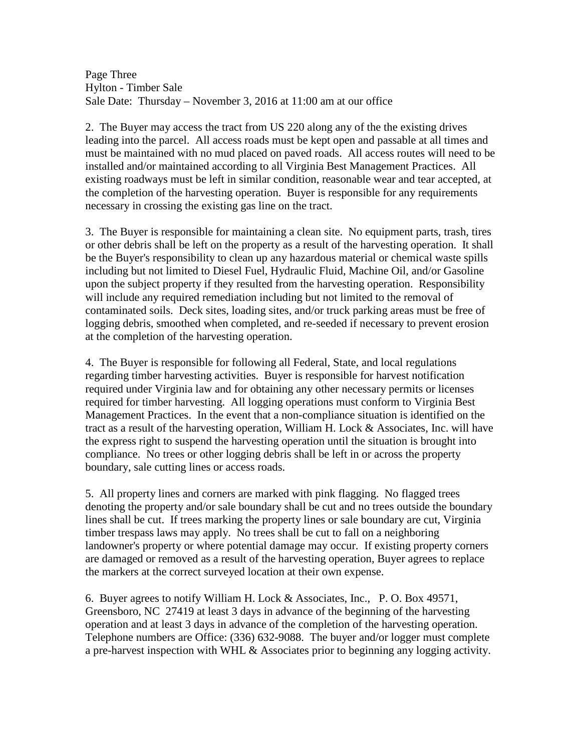Page Three Hylton - Timber Sale Sale Date: Thursday – November 3, 2016 at 11:00 am at our office

2. The Buyer may access the tract from US 220 along any of the the existing drives leading into the parcel. All access roads must be kept open and passable at all times and must be maintained with no mud placed on paved roads. All access routes will need to be installed and/or maintained according to all Virginia Best Management Practices. All existing roadways must be left in similar condition, reasonable wear and tear accepted, at the completion of the harvesting operation. Buyer is responsible for any requirements necessary in crossing the existing gas line on the tract.

3. The Buyer is responsible for maintaining a clean site. No equipment parts, trash, tires or other debris shall be left on the property as a result of the harvesting operation. It shall be the Buyer's responsibility to clean up any hazardous material or chemical waste spills including but not limited to Diesel Fuel, Hydraulic Fluid, Machine Oil, and/or Gasoline upon the subject property if they resulted from the harvesting operation. Responsibility will include any required remediation including but not limited to the removal of contaminated soils. Deck sites, loading sites, and/or truck parking areas must be free of logging debris, smoothed when completed, and re-seeded if necessary to prevent erosion at the completion of the harvesting operation.

4. The Buyer is responsible for following all Federal, State, and local regulations regarding timber harvesting activities. Buyer is responsible for harvest notification required under Virginia law and for obtaining any other necessary permits or licenses required for timber harvesting. All logging operations must conform to Virginia Best Management Practices. In the event that a non-compliance situation is identified on the tract as a result of the harvesting operation, William H. Lock & Associates, Inc. will have the express right to suspend the harvesting operation until the situation is brought into compliance. No trees or other logging debris shall be left in or across the property boundary, sale cutting lines or access roads.

5. All property lines and corners are marked with pink flagging. No flagged trees denoting the property and/or sale boundary shall be cut and no trees outside the boundary lines shall be cut. If trees marking the property lines or sale boundary are cut, Virginia timber trespass laws may apply. No trees shall be cut to fall on a neighboring landowner's property or where potential damage may occur. If existing property corners are damaged or removed as a result of the harvesting operation, Buyer agrees to replace the markers at the correct surveyed location at their own expense.

6. Buyer agrees to notify William H. Lock & Associates, Inc., P. O. Box 49571, Greensboro, NC 27419 at least 3 days in advance of the beginning of the harvesting operation and at least 3 days in advance of the completion of the harvesting operation. Telephone numbers are Office: (336) 632-9088. The buyer and/or logger must complete a pre-harvest inspection with WHL & Associates prior to beginning any logging activity.